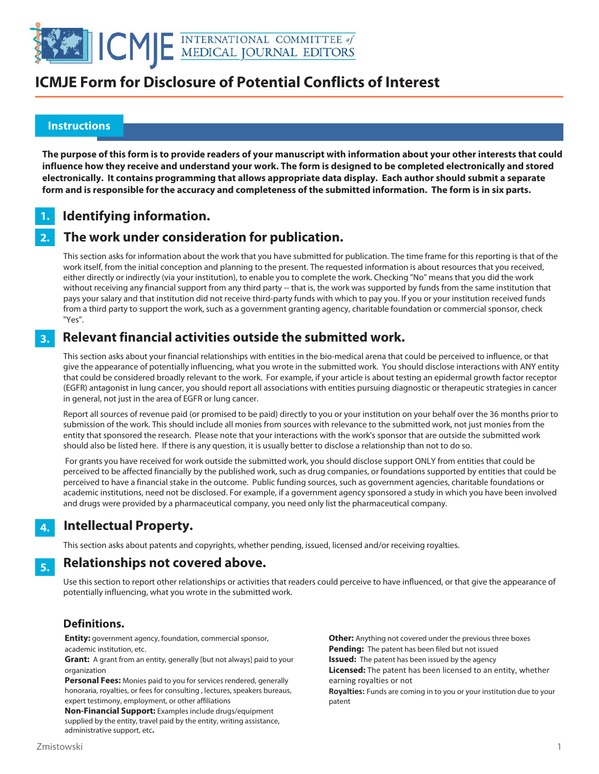

### **Instructions**

 

> **The purpose of this form is to provide readers of your manuscript with information about your other interests that could influence how they receive and understand your work. The form is designed to be completed electronically and stored electronically. It contains programming that allows appropriate data display. Each author should submit a separate form and is responsible for the accuracy and completeness of the submitted information. The form is in six parts.**

### **Identifying information. 1.**

### **The work under consideration for publication. 2.**

This section asks for information about the work that you have submitted for publication. The time frame for this reporting is that of the work itself, from the initial conception and planning to the present. The requested information is about resources that you received, either directly or indirectly (via your institution), to enable you to complete the work. Checking "No" means that you did the work without receiving any financial support from any third party -- that is, the work was supported by funds from the same institution that pays your salary and that institution did not receive third-party funds with which to pay you. If you or your institution received funds from a third party to support the work, such as a government granting agency, charitable foundation or commercial sponsor, check "Yes".

#### **Relevant financial activities outside the submitted work. 3.**

This section asks about your financial relationships with entities in the bio-medical arena that could be perceived to influence, or that give the appearance of potentially influencing, what you wrote in the submitted work. You should disclose interactions with ANY entity that could be considered broadly relevant to the work. For example, if your article is about testing an epidermal growth factor receptor (EGFR) antagonist in lung cancer, you should report all associations with entities pursuing diagnostic or therapeutic strategies in cancer in general, not just in the area of EGFR or lung cancer.

Report all sources of revenue paid (or promised to be paid) directly to you or your institution on your behalf over the 36 months prior to submission of the work. This should include all monies from sources with relevance to the submitted work, not just monies from the entity that sponsored the research. Please note that your interactions with the work's sponsor that are outside the submitted work should also be listed here. If there is any question, it is usually better to disclose a relationship than not to do so.

 For grants you have received for work outside the submitted work, you should disclose support ONLY from entities that could be perceived to be affected financially by the published work, such as drug companies, or foundations supported by entities that could be perceived to have a financial stake in the outcome. Public funding sources, such as government agencies, charitable foundations or academic institutions, need not be disclosed. For example, if a government agency sponsored a study in which you have been involved and drugs were provided by a pharmaceutical company, you need only list the pharmaceutical company.

### **Intellectual Property. 4.**

This section asks about patents and copyrights, whether pending, issued, licensed and/or receiving royalties.

#### **Relationships not covered above. 5.**

Use this section to report other relationships or activities that readers could perceive to have influenced, or that give the appearance of potentially influencing, what you wrote in the submitted work.

### **Definitions.**

**Entity:** government agency, foundation, commercial sponsor, academic institution, etc.

**Grant:** A grant from an entity, generally [but not always] paid to your organization

**Personal Fees:** Monies paid to you for services rendered, generally honoraria, royalties, or fees for consulting , lectures, speakers bureaus, expert testimony, employment, or other affiliations

**Non-Financial Support:** Examples include drugs/equipment supplied by the entity, travel paid by the entity, writing assistance, administrative support, etc**.**

**Other:** Anything not covered under the previous three boxes **Pending:** The patent has been filed but not issued **Issued:** The patent has been issued by the agency **Licensed:** The patent has been licensed to an entity, whether earning royalties or not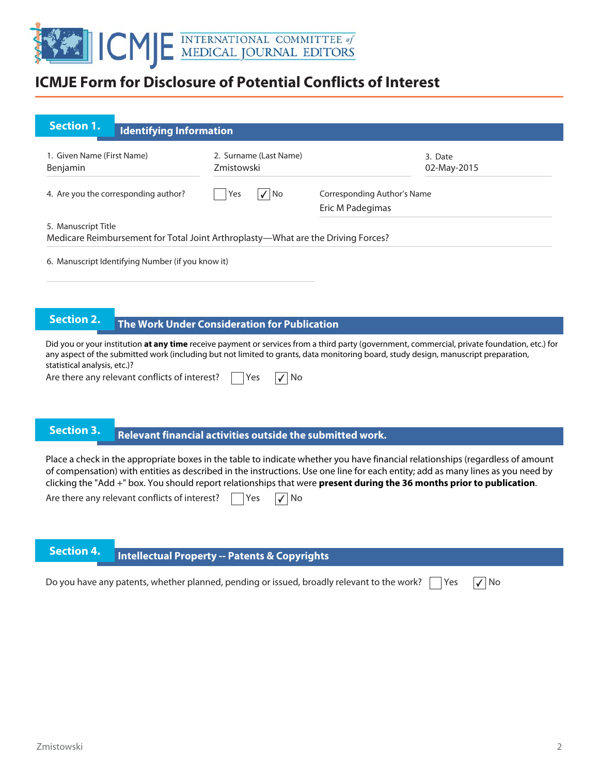

| <b>Section 1.</b>                                                             | <b>Identifying Information</b>                                                   |                                                                                                                                                                                                                                                                                      |
|-------------------------------------------------------------------------------|----------------------------------------------------------------------------------|--------------------------------------------------------------------------------------------------------------------------------------------------------------------------------------------------------------------------------------------------------------------------------------|
| 1. Given Name (First Name)<br>Benjamin                                        | 2. Surname (Last Name)<br>Zmistowski                                             | 3. Date<br>02-May-2015                                                                                                                                                                                                                                                               |
| 4. Are you the corresponding author?                                          | $\sqrt{ N}$<br>Yes                                                               | Corresponding Author's Name<br>Eric M Padegimas                                                                                                                                                                                                                                      |
| 5. Manuscript Title                                                           | Medicare Reimbursement for Total Joint Arthroplasty-What are the Driving Forces? |                                                                                                                                                                                                                                                                                      |
| 6. Manuscript Identifying Number (if you know it)                             |                                                                                  |                                                                                                                                                                                                                                                                                      |
|                                                                               |                                                                                  |                                                                                                                                                                                                                                                                                      |
|                                                                               |                                                                                  |                                                                                                                                                                                                                                                                                      |
| <b>Section 2.</b>                                                             | <b>The Work Under Consideration for Publication</b>                              |                                                                                                                                                                                                                                                                                      |
| statistical analysis, etc.)?<br>Are there any relevant conflicts of interest? | $\sqrt{ NQ}$<br>Yes                                                              | Did you or your institution at any time receive payment or services from a third party (government, commercial, private foundation, etc.) for<br>any aspect of the submitted work (including but not limited to grants, data monitoring board, study design, manuscript preparation, |
|                                                                               |                                                                                  |                                                                                                                                                                                                                                                                                      |
| <b>Section 3.</b>                                                             | Relevant financial activities outside the submitted work.                        |                                                                                                                                                                                                                                                                                      |
|                                                                               |                                                                                  | Dlace a check in the appropriate hoves in the table to indicate whether you have financial relationships (regardless of amount                                                                                                                                                       |

Place a check in the appropriate boxes in the table to indicate whether you have financial relationships (regardless of amount of compensation) with entities as described in the instructions. Use one line for each entity; add as many lines as you need by clicking the "Add +" box. You should report relationships that were **present during the 36 months prior to publication**.

| Are there any relevant conflicts of interest? |  | $\exists$ Yes | $\sqrt{ }$ No |  |
|-----------------------------------------------|--|---------------|---------------|--|
|-----------------------------------------------|--|---------------|---------------|--|

| Do you have any patents, whether planned, pending or issued, broadly relevant to the work? $\Box$ Yes $\Box$ No |  |
|-----------------------------------------------------------------------------------------------------------------|--|
|                                                                                                                 |  |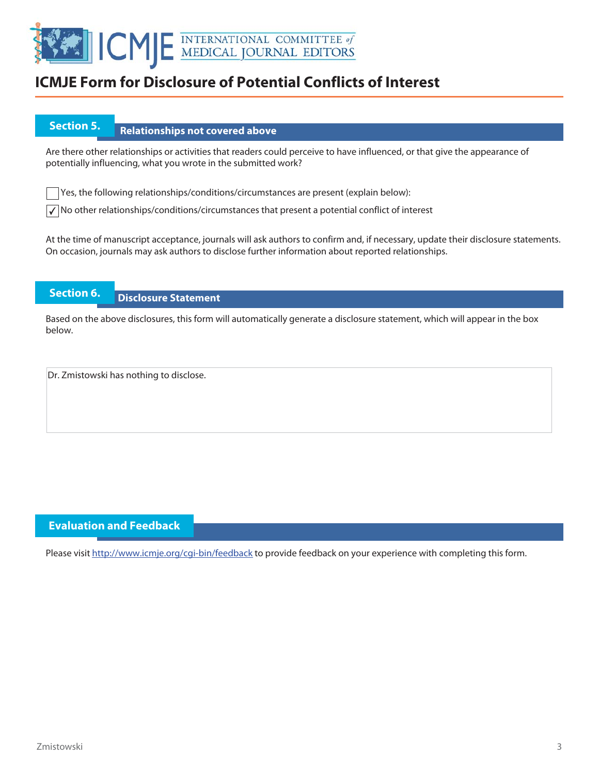

### **Section 5.** Relationships not covered above

Are there other relationships or activities that readers could perceive to have influenced, or that give the appearance of potentially influencing, what you wrote in the submitted work?

Yes, the following relationships/conditions/circumstances are present (explain below):

 $\sqrt{\ }$  No other relationships/conditions/circumstances that present a potential conflict of interest

At the time of manuscript acceptance, journals will ask authors to confirm and, if necessary, update their disclosure statements. On occasion, journals may ask authors to disclose further information about reported relationships.

### **Section 6. Disclosure Statement**

Based on the above disclosures, this form will automatically generate a disclosure statement, which will appear in the box below.

Dr. Zmistowski has nothing to disclose.

### **Evaluation and Feedback**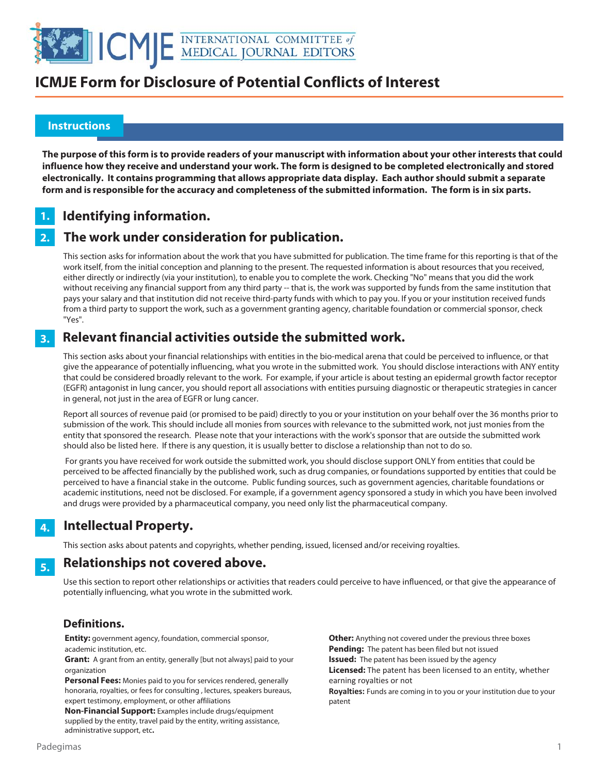

### **Instructions**

 

> **The purpose of this form is to provide readers of your manuscript with information about your other interests that could influence how they receive and understand your work. The form is designed to be completed electronically and stored electronically. It contains programming that allows appropriate data display. Each author should submit a separate form and is responsible for the accuracy and completeness of the submitted information. The form is in six parts.**

### **Identifying information. 1.**

### **The work under consideration for publication. 2.**

This section asks for information about the work that you have submitted for publication. The time frame for this reporting is that of the work itself, from the initial conception and planning to the present. The requested information is about resources that you received, either directly or indirectly (via your institution), to enable you to complete the work. Checking "No" means that you did the work without receiving any financial support from any third party -- that is, the work was supported by funds from the same institution that pays your salary and that institution did not receive third-party funds with which to pay you. If you or your institution received funds from a third party to support the work, such as a government granting agency, charitable foundation or commercial sponsor, check "Yes".

#### **Relevant financial activities outside the submitted work. 3.**

This section asks about your financial relationships with entities in the bio-medical arena that could be perceived to influence, or that give the appearance of potentially influencing, what you wrote in the submitted work. You should disclose interactions with ANY entity that could be considered broadly relevant to the work. For example, if your article is about testing an epidermal growth factor receptor (EGFR) antagonist in lung cancer, you should report all associations with entities pursuing diagnostic or therapeutic strategies in cancer in general, not just in the area of EGFR or lung cancer.

Report all sources of revenue paid (or promised to be paid) directly to you or your institution on your behalf over the 36 months prior to submission of the work. This should include all monies from sources with relevance to the submitted work, not just monies from the entity that sponsored the research. Please note that your interactions with the work's sponsor that are outside the submitted work should also be listed here. If there is any question, it is usually better to disclose a relationship than not to do so.

 For grants you have received for work outside the submitted work, you should disclose support ONLY from entities that could be perceived to be affected financially by the published work, such as drug companies, or foundations supported by entities that could be perceived to have a financial stake in the outcome. Public funding sources, such as government agencies, charitable foundations or academic institutions, need not be disclosed. For example, if a government agency sponsored a study in which you have been involved and drugs were provided by a pharmaceutical company, you need only list the pharmaceutical company.

### **Intellectual Property. 4.**

This section asks about patents and copyrights, whether pending, issued, licensed and/or receiving royalties.

#### **Relationships not covered above. 5.**

Use this section to report other relationships or activities that readers could perceive to have influenced, or that give the appearance of potentially influencing, what you wrote in the submitted work.

### **Definitions.**

**Entity:** government agency, foundation, commercial sponsor, academic institution, etc.

**Grant:** A grant from an entity, generally [but not always] paid to your organization

**Personal Fees:** Monies paid to you for services rendered, generally honoraria, royalties, or fees for consulting , lectures, speakers bureaus, expert testimony, employment, or other affiliations

**Non-Financial Support:** Examples include drugs/equipment supplied by the entity, travel paid by the entity, writing assistance, administrative support, etc**.**

**Other:** Anything not covered under the previous three boxes **Pending:** The patent has been filed but not issued **Issued:** The patent has been issued by the agency **Licensed:** The patent has been licensed to an entity, whether earning royalties or not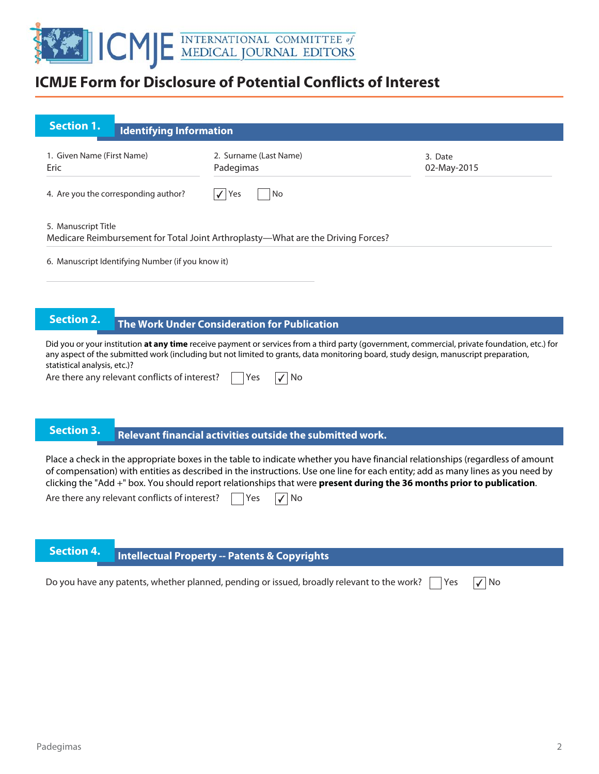

| <b>Section 1.</b>                  | <b>Identifying Information</b>                                                   |                                     |             |                                                                                                                                                                                                                                                                                      |
|------------------------------------|----------------------------------------------------------------------------------|-------------------------------------|-------------|--------------------------------------------------------------------------------------------------------------------------------------------------------------------------------------------------------------------------------------------------------------------------------------|
| 1. Given Name (First Name)<br>Eric |                                                                                  | 2. Surname (Last Name)<br>Padegimas |             | 3. Date<br>02-May-2015                                                                                                                                                                                                                                                               |
|                                    | 4. Are you the corresponding author?                                             | $\sqrt{ }$ Yes                      | No          |                                                                                                                                                                                                                                                                                      |
| 5. Manuscript Title                | Medicare Reimbursement for Total Joint Arthroplasty—What are the Driving Forces? |                                     |             |                                                                                                                                                                                                                                                                                      |
|                                    | 6. Manuscript Identifying Number (if you know it)                                |                                     |             |                                                                                                                                                                                                                                                                                      |
|                                    |                                                                                  |                                     |             |                                                                                                                                                                                                                                                                                      |
| <b>Section 2.</b>                  | The Work Under Consideration for Publication                                     |                                     |             |                                                                                                                                                                                                                                                                                      |
| statistical analysis, etc.)?       | Are there any relevant conflicts of interest?                                    | Yes                                 | $\sqrt{ N}$ | Did you or your institution at any time receive payment or services from a third party (government, commercial, private foundation, etc.) for<br>any aspect of the submitted work (including but not limited to grants, data monitoring board, study design, manuscript preparation, |
| <b>Section 3.</b>                  | Relevant financial activities outside the submitted work.                        |                                     |             |                                                                                                                                                                                                                                                                                      |

Place a check in the appropriate boxes in the table to indicate whether you have financial relationships (regardless of amount of compensation) with entities as described in the instructions. Use one line for each entity; add as many lines as you need by clicking the "Add +" box. You should report relationships that were **present during the 36 months prior to publication**.

| Are there any relevant conflicts of interest? |  | <b>Yes</b> |  | $\sqrt{\ }$ No |
|-----------------------------------------------|--|------------|--|----------------|
|-----------------------------------------------|--|------------|--|----------------|

| Do you have any patents, whether planned, pending or issued, broadly relevant to the work? $\Box$ Yes $\Box$ No |  |
|-----------------------------------------------------------------------------------------------------------------|--|
|                                                                                                                 |  |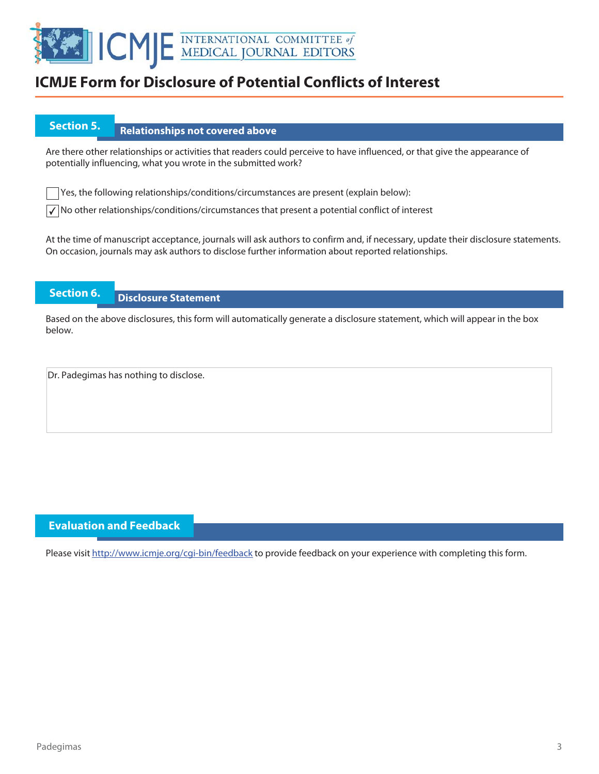

### **Section 5.** Relationships not covered above

Are there other relationships or activities that readers could perceive to have influenced, or that give the appearance of potentially influencing, what you wrote in the submitted work?

Yes, the following relationships/conditions/circumstances are present (explain below):

 $\sqrt{\ }$  No other relationships/conditions/circumstances that present a potential conflict of interest

At the time of manuscript acceptance, journals will ask authors to confirm and, if necessary, update their disclosure statements. On occasion, journals may ask authors to disclose further information about reported relationships.

### **Section 6. Disclosure Statement**

Based on the above disclosures, this form will automatically generate a disclosure statement, which will appear in the box below.

Dr. Padegimas has nothing to disclose.

### **Evaluation and Feedback**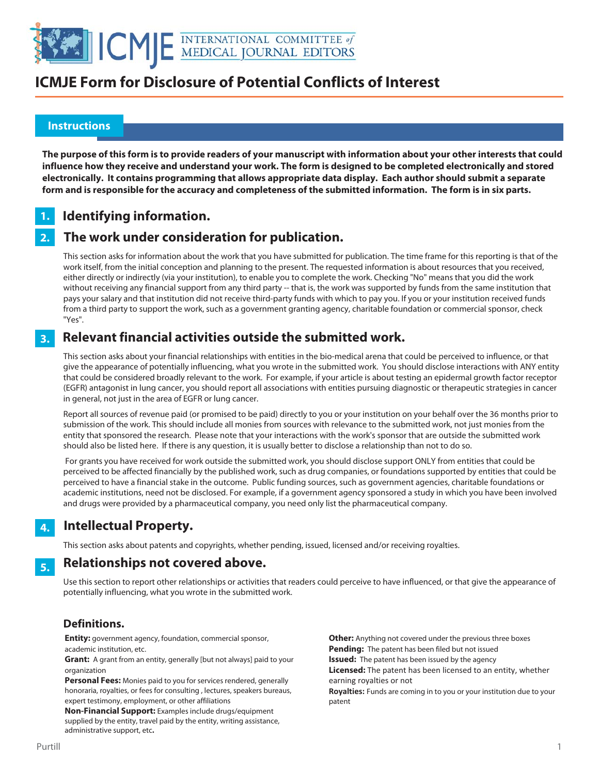

### **Instructions**

 

> **The purpose of this form is to provide readers of your manuscript with information about your other interests that could influence how they receive and understand your work. The form is designed to be completed electronically and stored electronically. It contains programming that allows appropriate data display. Each author should submit a separate form and is responsible for the accuracy and completeness of the submitted information. The form is in six parts.**

### **Identifying information. 1.**

### **The work under consideration for publication. 2.**

This section asks for information about the work that you have submitted for publication. The time frame for this reporting is that of the work itself, from the initial conception and planning to the present. The requested information is about resources that you received, either directly or indirectly (via your institution), to enable you to complete the work. Checking "No" means that you did the work without receiving any financial support from any third party -- that is, the work was supported by funds from the same institution that pays your salary and that institution did not receive third-party funds with which to pay you. If you or your institution received funds from a third party to support the work, such as a government granting agency, charitable foundation or commercial sponsor, check "Yes".

#### **Relevant financial activities outside the submitted work. 3.**

This section asks about your financial relationships with entities in the bio-medical arena that could be perceived to influence, or that give the appearance of potentially influencing, what you wrote in the submitted work. You should disclose interactions with ANY entity that could be considered broadly relevant to the work. For example, if your article is about testing an epidermal growth factor receptor (EGFR) antagonist in lung cancer, you should report all associations with entities pursuing diagnostic or therapeutic strategies in cancer in general, not just in the area of EGFR or lung cancer.

Report all sources of revenue paid (or promised to be paid) directly to you or your institution on your behalf over the 36 months prior to submission of the work. This should include all monies from sources with relevance to the submitted work, not just monies from the entity that sponsored the research. Please note that your interactions with the work's sponsor that are outside the submitted work should also be listed here. If there is any question, it is usually better to disclose a relationship than not to do so.

 For grants you have received for work outside the submitted work, you should disclose support ONLY from entities that could be perceived to be affected financially by the published work, such as drug companies, or foundations supported by entities that could be perceived to have a financial stake in the outcome. Public funding sources, such as government agencies, charitable foundations or academic institutions, need not be disclosed. For example, if a government agency sponsored a study in which you have been involved and drugs were provided by a pharmaceutical company, you need only list the pharmaceutical company.

### **Intellectual Property. 4.**

This section asks about patents and copyrights, whether pending, issued, licensed and/or receiving royalties.

#### **Relationships not covered above. 5.**

Use this section to report other relationships or activities that readers could perceive to have influenced, or that give the appearance of potentially influencing, what you wrote in the submitted work.

### **Definitions.**

**Entity:** government agency, foundation, commercial sponsor, academic institution, etc.

**Grant:** A grant from an entity, generally [but not always] paid to your organization

**Personal Fees:** Monies paid to you for services rendered, generally honoraria, royalties, or fees for consulting , lectures, speakers bureaus, expert testimony, employment, or other affiliations

**Non-Financial Support:** Examples include drugs/equipment supplied by the entity, travel paid by the entity, writing assistance, administrative support, etc**.**

**Other:** Anything not covered under the previous three boxes **Pending:** The patent has been filed but not issued **Issued:** The patent has been issued by the agency **Licensed:** The patent has been licensed to an entity, whether earning royalties or not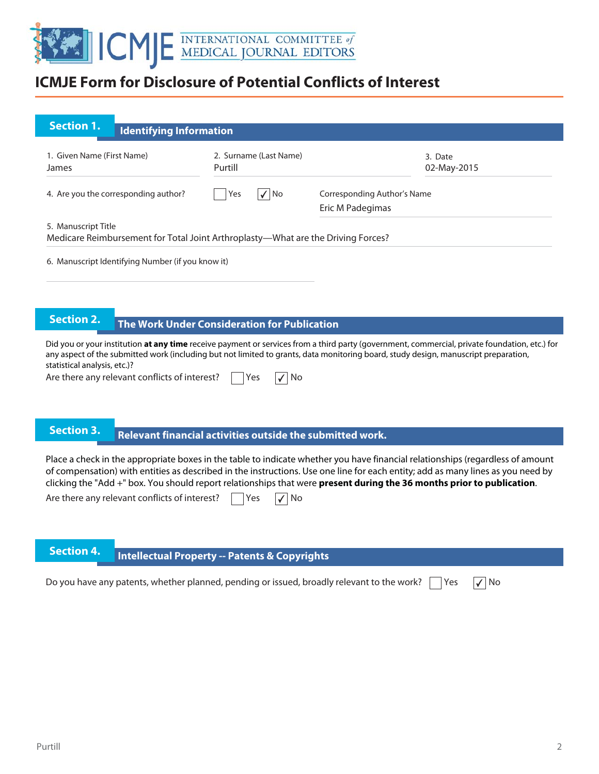

| <b>Section 1.</b><br><b>Identifying Information</b>                                                     |                                                           |                                                                                                                                                                                                                                                                                                                                                                                             |
|---------------------------------------------------------------------------------------------------------|-----------------------------------------------------------|---------------------------------------------------------------------------------------------------------------------------------------------------------------------------------------------------------------------------------------------------------------------------------------------------------------------------------------------------------------------------------------------|
| 1. Given Name (First Name)<br>James                                                                     | 2. Surname (Last Name)<br>Purtill                         | 3. Date<br>02-May-2015                                                                                                                                                                                                                                                                                                                                                                      |
| 4. Are you the corresponding author?                                                                    | $\sqrt{ N}$<br>Yes                                        | Corresponding Author's Name<br>Eric M Padegimas                                                                                                                                                                                                                                                                                                                                             |
| 5. Manuscript Title<br>Medicare Reimbursement for Total Joint Arthroplasty-What are the Driving Forces? |                                                           |                                                                                                                                                                                                                                                                                                                                                                                             |
| 6. Manuscript Identifying Number (if you know it)                                                       |                                                           |                                                                                                                                                                                                                                                                                                                                                                                             |
|                                                                                                         |                                                           |                                                                                                                                                                                                                                                                                                                                                                                             |
| <b>Section 2.</b>                                                                                       | <b>The Work Under Consideration for Publication</b>       |                                                                                                                                                                                                                                                                                                                                                                                             |
| statistical analysis, etc.)?<br>Are there any relevant conflicts of interest?                           | $\sqrt{ N}$<br>Yes                                        | Did you or your institution at any time receive payment or services from a third party (government, commercial, private foundation, etc.) for<br>any aspect of the submitted work (including but not limited to grants, data monitoring board, study design, manuscript preparation,                                                                                                        |
|                                                                                                         |                                                           |                                                                                                                                                                                                                                                                                                                                                                                             |
| <b>Section 3.</b>                                                                                       | Relevant financial activities outside the submitted work. |                                                                                                                                                                                                                                                                                                                                                                                             |
|                                                                                                         |                                                           | Place a check in the appropriate boxes in the table to indicate whether you have financial relationships (regardless of amount<br>of compensation) with entities as described in the instructions. Use one line for each entity; add as many lines as you need by<br>clicking the "Add +" box. You should report relationships that were present during the 36 months prior to publication. |

Are there any relevant conflicts of interest?  $\Box$  Yes  $\Box$  No

## **Intellectual Property -- Patents & Copyrights**

Do you have any patents, whether planned, pending or issued, broadly relevant to the work?  $\Box$  Yes  $\Box$  No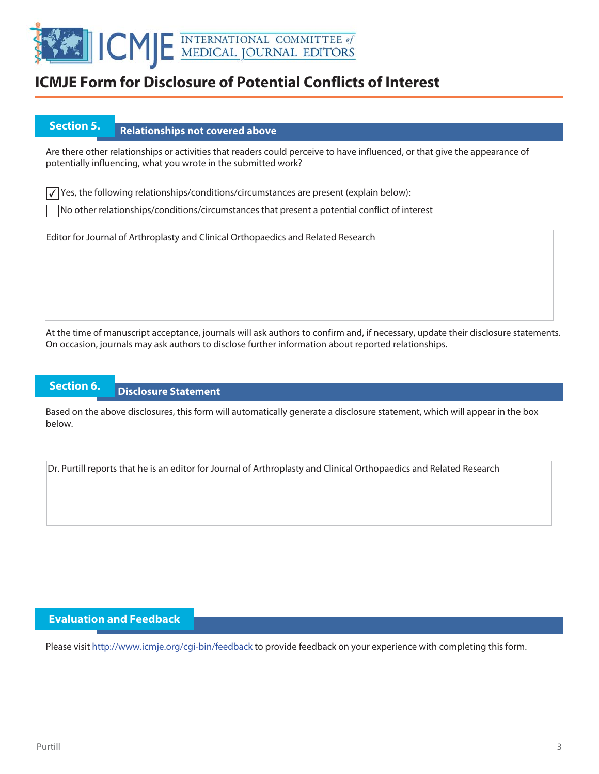

### **Section 5.** Relationships not covered above

Are there other relationships or activities that readers could perceive to have influenced, or that give the appearance of potentially influencing, what you wrote in the submitted work?

 $\sqrt{\ }$  Yes, the following relationships/conditions/circumstances are present (explain below):

No other relationships/conditions/circumstances that present a potential conflict of interest

Editor for Journal of Arthroplasty and Clinical Orthopaedics and Related Research

At the time of manuscript acceptance, journals will ask authors to confirm and, if necessary, update their disclosure statements. On occasion, journals may ask authors to disclose further information about reported relationships.

**Disclosure Statement Section 6.**

Based on the above disclosures, this form will automatically generate a disclosure statement, which will appear in the box below.

Dr. Purtill reports that he is an editor for Journal of Arthroplasty and Clinical Orthopaedics and Related Research

### **Evaluation and Feedback**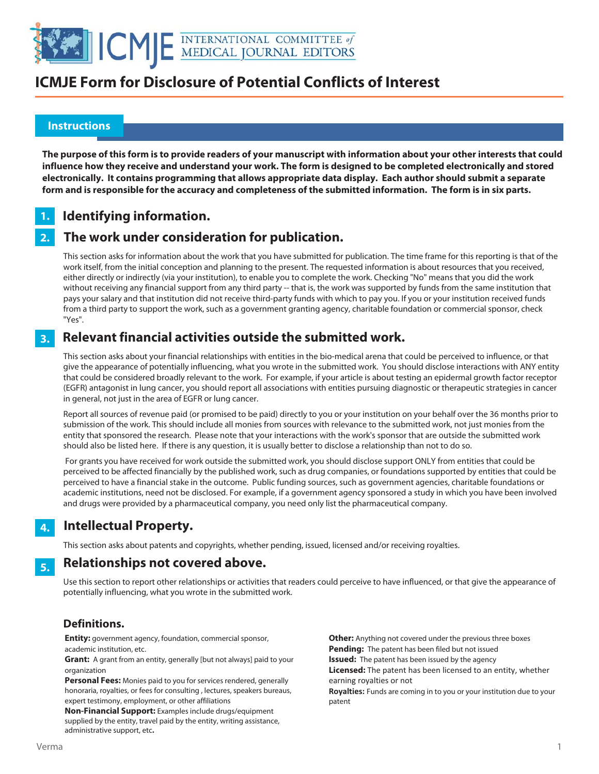

### **Instructions**

 

> **The purpose of this form is to provide readers of your manuscript with information about your other interests that could influence how they receive and understand your work. The form is designed to be completed electronically and stored electronically. It contains programming that allows appropriate data display. Each author should submit a separate form and is responsible for the accuracy and completeness of the submitted information. The form is in six parts.**

### **Identifying information. 1.**

### **The work under consideration for publication. 2.**

This section asks for information about the work that you have submitted for publication. The time frame for this reporting is that of the work itself, from the initial conception and planning to the present. The requested information is about resources that you received, either directly or indirectly (via your institution), to enable you to complete the work. Checking "No" means that you did the work without receiving any financial support from any third party -- that is, the work was supported by funds from the same institution that pays your salary and that institution did not receive third-party funds with which to pay you. If you or your institution received funds from a third party to support the work, such as a government granting agency, charitable foundation or commercial sponsor, check "Yes".

#### **Relevant financial activities outside the submitted work. 3.**

This section asks about your financial relationships with entities in the bio-medical arena that could be perceived to influence, or that give the appearance of potentially influencing, what you wrote in the submitted work. You should disclose interactions with ANY entity that could be considered broadly relevant to the work. For example, if your article is about testing an epidermal growth factor receptor (EGFR) antagonist in lung cancer, you should report all associations with entities pursuing diagnostic or therapeutic strategies in cancer in general, not just in the area of EGFR or lung cancer.

Report all sources of revenue paid (or promised to be paid) directly to you or your institution on your behalf over the 36 months prior to submission of the work. This should include all monies from sources with relevance to the submitted work, not just monies from the entity that sponsored the research. Please note that your interactions with the work's sponsor that are outside the submitted work should also be listed here. If there is any question, it is usually better to disclose a relationship than not to do so.

 For grants you have received for work outside the submitted work, you should disclose support ONLY from entities that could be perceived to be affected financially by the published work, such as drug companies, or foundations supported by entities that could be perceived to have a financial stake in the outcome. Public funding sources, such as government agencies, charitable foundations or academic institutions, need not be disclosed. For example, if a government agency sponsored a study in which you have been involved and drugs were provided by a pharmaceutical company, you need only list the pharmaceutical company.

### **Intellectual Property. 4.**

This section asks about patents and copyrights, whether pending, issued, licensed and/or receiving royalties.

#### **Relationships not covered above. 5.**

Use this section to report other relationships or activities that readers could perceive to have influenced, or that give the appearance of potentially influencing, what you wrote in the submitted work.

### **Definitions.**

**Entity:** government agency, foundation, commercial sponsor, academic institution, etc.

**Grant:** A grant from an entity, generally [but not always] paid to your organization

**Personal Fees:** Monies paid to you for services rendered, generally honoraria, royalties, or fees for consulting , lectures, speakers bureaus, expert testimony, employment, or other affiliations

**Non-Financial Support:** Examples include drugs/equipment supplied by the entity, travel paid by the entity, writing assistance, administrative support, etc**.**

**Other:** Anything not covered under the previous three boxes **Pending:** The patent has been filed but not issued **Issued:** The patent has been issued by the agency **Licensed:** The patent has been licensed to an entity, whether earning royalties or not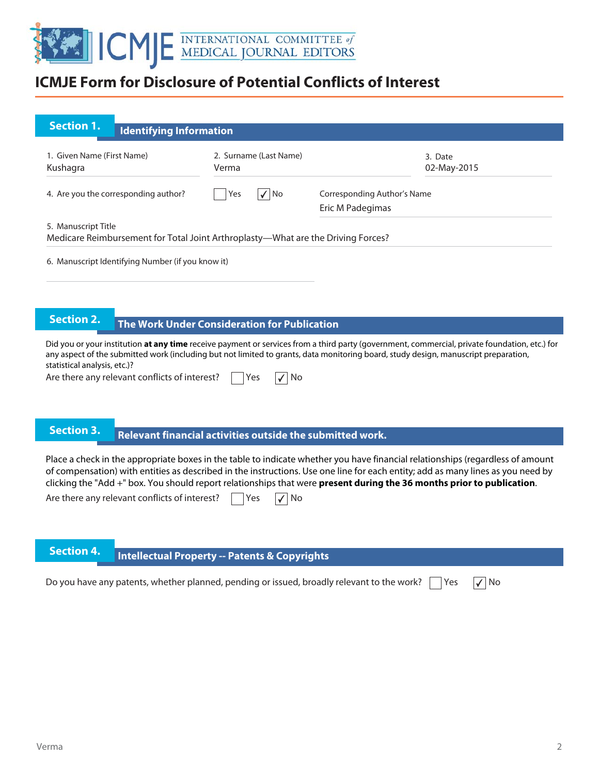

| <b>Section 1.</b><br><b>Identifying Information</b>                                                     |                                                           |                                                                                                                                                                                                                                                                                      |
|---------------------------------------------------------------------------------------------------------|-----------------------------------------------------------|--------------------------------------------------------------------------------------------------------------------------------------------------------------------------------------------------------------------------------------------------------------------------------------|
| 1. Given Name (First Name)<br>Kushagra                                                                  | 2. Surname (Last Name)<br>Verma                           | 3. Date<br>02-May-2015                                                                                                                                                                                                                                                               |
| 4. Are you the corresponding author?                                                                    | Yes<br>No                                                 | Corresponding Author's Name<br>Eric M Padegimas                                                                                                                                                                                                                                      |
| 5. Manuscript Title<br>Medicare Reimbursement for Total Joint Arthroplasty-What are the Driving Forces? |                                                           |                                                                                                                                                                                                                                                                                      |
| 6. Manuscript Identifying Number (if you know it)                                                       |                                                           |                                                                                                                                                                                                                                                                                      |
|                                                                                                         |                                                           |                                                                                                                                                                                                                                                                                      |
|                                                                                                         |                                                           |                                                                                                                                                                                                                                                                                      |
| <b>Section 2.</b>                                                                                       | <b>The Work Under Consideration for Publication</b>       |                                                                                                                                                                                                                                                                                      |
| statistical analysis, etc.)?                                                                            |                                                           | Did you or your institution at any time receive payment or services from a third party (government, commercial, private foundation, etc.) for<br>any aspect of the submitted work (including but not limited to grants, data monitoring board, study design, manuscript preparation, |
| Are there any relevant conflicts of interest?                                                           | No<br><b>Yes</b>                                          |                                                                                                                                                                                                                                                                                      |
|                                                                                                         |                                                           |                                                                                                                                                                                                                                                                                      |
| <b>Section 3.</b>                                                                                       | Relevant financial activities outside the submitted work. |                                                                                                                                                                                                                                                                                      |

Place a check in the appropriate boxes in the table to indicate whether you have financial relationships (regardless of amount of compensation) with entities as described in the instructions. Use one line for each entity; add as many lines as you need by clicking the "Add +" box. You should report relationships that were **present during the 36 months prior to publication**.

| Are there any relevant conflicts of interest? | <b>Yes</b> | $\sqrt{}$ No |
|-----------------------------------------------|------------|--------------|
|                                               |            |              |

| Do you have any patents, whether planned, pending or issued, broadly relevant to the work? $\Box$ Yes $\Box$ No |  |
|-----------------------------------------------------------------------------------------------------------------|--|
|                                                                                                                 |  |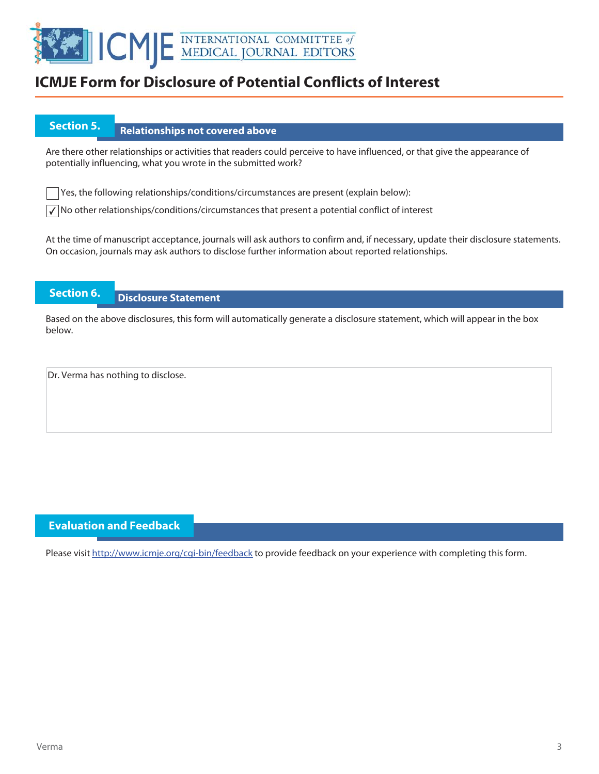

### **Section 5.** Relationships not covered above

Are there other relationships or activities that readers could perceive to have influenced, or that give the appearance of potentially influencing, what you wrote in the submitted work?

Yes, the following relationships/conditions/circumstances are present (explain below):

 $\sqrt{\ }$  No other relationships/conditions/circumstances that present a potential conflict of interest

At the time of manuscript acceptance, journals will ask authors to confirm and, if necessary, update their disclosure statements. On occasion, journals may ask authors to disclose further information about reported relationships.

### **Section 6. Disclosure Statement**

Based on the above disclosures, this form will automatically generate a disclosure statement, which will appear in the box below.

Dr. Verma has nothing to disclose.

### **Evaluation and Feedback**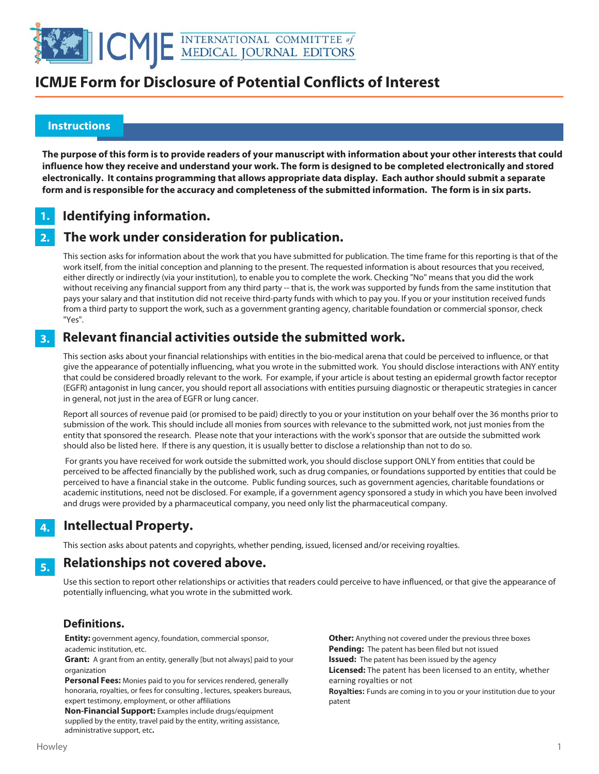

### **Instructions**

 

> **The purpose of this form is to provide readers of your manuscript with information about your other interests that could influence how they receive and understand your work. The form is designed to be completed electronically and stored electronically. It contains programming that allows appropriate data display. Each author should submit a separate form and is responsible for the accuracy and completeness of the submitted information. The form is in six parts.**

### **Identifying information. 1.**

### **The work under consideration for publication. 2.**

This section asks for information about the work that you have submitted for publication. The time frame for this reporting is that of the work itself, from the initial conception and planning to the present. The requested information is about resources that you received, either directly or indirectly (via your institution), to enable you to complete the work. Checking "No" means that you did the work without receiving any financial support from any third party -- that is, the work was supported by funds from the same institution that pays your salary and that institution did not receive third-party funds with which to pay you. If you or your institution received funds from a third party to support the work, such as a government granting agency, charitable foundation or commercial sponsor, check "Yes".

#### **Relevant financial activities outside the submitted work. 3.**

This section asks about your financial relationships with entities in the bio-medical arena that could be perceived to influence, or that give the appearance of potentially influencing, what you wrote in the submitted work. You should disclose interactions with ANY entity that could be considered broadly relevant to the work. For example, if your article is about testing an epidermal growth factor receptor (EGFR) antagonist in lung cancer, you should report all associations with entities pursuing diagnostic or therapeutic strategies in cancer in general, not just in the area of EGFR or lung cancer.

Report all sources of revenue paid (or promised to be paid) directly to you or your institution on your behalf over the 36 months prior to submission of the work. This should include all monies from sources with relevance to the submitted work, not just monies from the entity that sponsored the research. Please note that your interactions with the work's sponsor that are outside the submitted work should also be listed here. If there is any question, it is usually better to disclose a relationship than not to do so.

 For grants you have received for work outside the submitted work, you should disclose support ONLY from entities that could be perceived to be affected financially by the published work, such as drug companies, or foundations supported by entities that could be perceived to have a financial stake in the outcome. Public funding sources, such as government agencies, charitable foundations or academic institutions, need not be disclosed. For example, if a government agency sponsored a study in which you have been involved and drugs were provided by a pharmaceutical company, you need only list the pharmaceutical company.

### **Intellectual Property. 4.**

This section asks about patents and copyrights, whether pending, issued, licensed and/or receiving royalties.

#### **Relationships not covered above. 5.**

Use this section to report other relationships or activities that readers could perceive to have influenced, or that give the appearance of potentially influencing, what you wrote in the submitted work.

### **Definitions.**

**Entity:** government agency, foundation, commercial sponsor, academic institution, etc.

**Grant:** A grant from an entity, generally [but not always] paid to your organization

**Personal Fees:** Monies paid to you for services rendered, generally honoraria, royalties, or fees for consulting , lectures, speakers bureaus, expert testimony, employment, or other affiliations

**Non-Financial Support:** Examples include drugs/equipment supplied by the entity, travel paid by the entity, writing assistance, administrative support, etc**.**

**Other:** Anything not covered under the previous three boxes **Pending:** The patent has been filed but not issued **Issued:** The patent has been issued by the agency **Licensed:** The patent has been licensed to an entity, whether earning royalties or not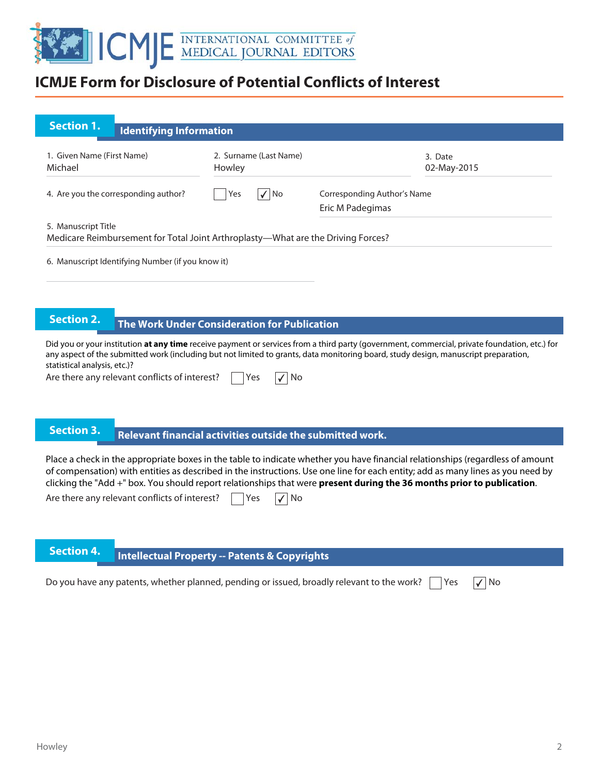

| <b>Section 1.</b><br><b>Identifying Information</b>                                                                                                                                                                                                                                                                                                                                         |                                                           |                                                 |                        |
|---------------------------------------------------------------------------------------------------------------------------------------------------------------------------------------------------------------------------------------------------------------------------------------------------------------------------------------------------------------------------------------------|-----------------------------------------------------------|-------------------------------------------------|------------------------|
| 1. Given Name (First Name)<br>Michael                                                                                                                                                                                                                                                                                                                                                       | 2. Surname (Last Name)<br>Howley                          |                                                 | 3. Date<br>02-May-2015 |
| 4. Are you the corresponding author?                                                                                                                                                                                                                                                                                                                                                        | Yes<br>$\sqrt{ N}$                                        | Corresponding Author's Name<br>Eric M Padegimas |                        |
| 5. Manuscript Title<br>Medicare Reimbursement for Total Joint Arthroplasty-What are the Driving Forces?                                                                                                                                                                                                                                                                                     |                                                           |                                                 |                        |
| 6. Manuscript Identifying Number (if you know it)                                                                                                                                                                                                                                                                                                                                           |                                                           |                                                 |                        |
|                                                                                                                                                                                                                                                                                                                                                                                             |                                                           |                                                 |                        |
| <b>Section 2.</b>                                                                                                                                                                                                                                                                                                                                                                           | <b>The Work Under Consideration for Publication</b>       |                                                 |                        |
| Did you or your institution at any time receive payment or services from a third party (government, commercial, private foundation, etc.) for<br>any aspect of the submitted work (including but not limited to grants, data monitoring board, study design, manuscript preparation,<br>statistical analysis, etc.)?                                                                        |                                                           |                                                 |                        |
| Are there any relevant conflicts of interest?                                                                                                                                                                                                                                                                                                                                               | $\sqrt{ N}$<br>Yes                                        |                                                 |                        |
| <b>Section 3.</b>                                                                                                                                                                                                                                                                                                                                                                           | Relevant financial activities outside the submitted work. |                                                 |                        |
| Place a check in the appropriate boxes in the table to indicate whether you have financial relationships (regardless of amount<br>of compensation) with entities as described in the instructions. Use one line for each entity; add as many lines as you need by<br>clicking the "Add +" box. You should report relationships that were present during the 36 months prior to publication. |                                                           |                                                 |                        |

| Yes<br>$\sqrt{ }$ No<br>Are there any relevant conflicts of interest? |
|-----------------------------------------------------------------------|
|-----------------------------------------------------------------------|

|  |  | Do you have any patents, whether planned, pending or issued, broadly relevant to the work? $\Box$ Yes $\Box$ No |
|--|--|-----------------------------------------------------------------------------------------------------------------|
|--|--|-----------------------------------------------------------------------------------------------------------------|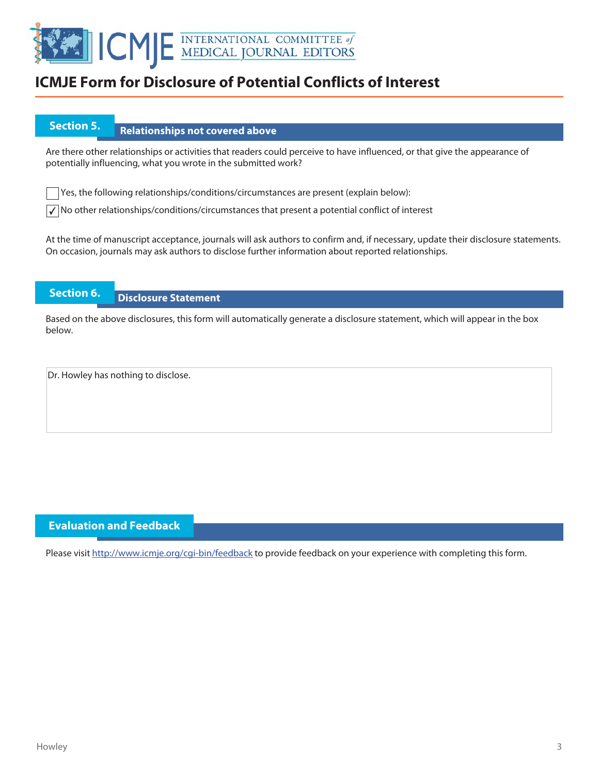

### **Section 5.** Relationships not covered above

Are there other relationships or activities that readers could perceive to have influenced, or that give the appearance of potentially influencing, what you wrote in the submitted work?

Yes, the following relationships/conditions/circumstances are present (explain below):

 $\sqrt{\ }$  No other relationships/conditions/circumstances that present a potential conflict of interest

At the time of manuscript acceptance, journals will ask authors to confirm and, if necessary, update their disclosure statements. On occasion, journals may ask authors to disclose further information about reported relationships.

### **Section 6. Disclosure Statement**

Based on the above disclosures, this form will automatically generate a disclosure statement, which will appear in the box below.

Dr. Howley has nothing to disclose.

### **Evaluation and Feedback**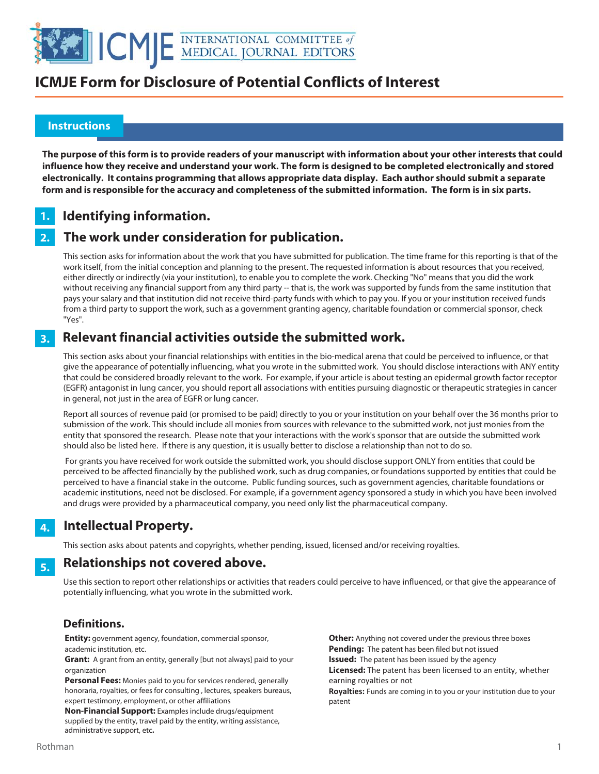

### **Instructions**

 

> **The purpose of this form is to provide readers of your manuscript with information about your other interests that could influence how they receive and understand your work. The form is designed to be completed electronically and stored electronically. It contains programming that allows appropriate data display. Each author should submit a separate form and is responsible for the accuracy and completeness of the submitted information. The form is in six parts.**

### **Identifying information. 1.**

### **The work under consideration for publication. 2.**

This section asks for information about the work that you have submitted for publication. The time frame for this reporting is that of the work itself, from the initial conception and planning to the present. The requested information is about resources that you received, either directly or indirectly (via your institution), to enable you to complete the work. Checking "No" means that you did the work without receiving any financial support from any third party -- that is, the work was supported by funds from the same institution that pays your salary and that institution did not receive third-party funds with which to pay you. If you or your institution received funds from a third party to support the work, such as a government granting agency, charitable foundation or commercial sponsor, check "Yes".

#### **Relevant financial activities outside the submitted work. 3.**

This section asks about your financial relationships with entities in the bio-medical arena that could be perceived to influence, or that give the appearance of potentially influencing, what you wrote in the submitted work. You should disclose interactions with ANY entity that could be considered broadly relevant to the work. For example, if your article is about testing an epidermal growth factor receptor (EGFR) antagonist in lung cancer, you should report all associations with entities pursuing diagnostic or therapeutic strategies in cancer in general, not just in the area of EGFR or lung cancer.

Report all sources of revenue paid (or promised to be paid) directly to you or your institution on your behalf over the 36 months prior to submission of the work. This should include all monies from sources with relevance to the submitted work, not just monies from the entity that sponsored the research. Please note that your interactions with the work's sponsor that are outside the submitted work should also be listed here. If there is any question, it is usually better to disclose a relationship than not to do so.

 For grants you have received for work outside the submitted work, you should disclose support ONLY from entities that could be perceived to be affected financially by the published work, such as drug companies, or foundations supported by entities that could be perceived to have a financial stake in the outcome. Public funding sources, such as government agencies, charitable foundations or academic institutions, need not be disclosed. For example, if a government agency sponsored a study in which you have been involved and drugs were provided by a pharmaceutical company, you need only list the pharmaceutical company.

### **Intellectual Property. 4.**

This section asks about patents and copyrights, whether pending, issued, licensed and/or receiving royalties.

#### **Relationships not covered above. 5.**

Use this section to report other relationships or activities that readers could perceive to have influenced, or that give the appearance of potentially influencing, what you wrote in the submitted work.

### **Definitions.**

**Entity:** government agency, foundation, commercial sponsor, academic institution, etc.

**Grant:** A grant from an entity, generally [but not always] paid to your organization

**Personal Fees:** Monies paid to you for services rendered, generally honoraria, royalties, or fees for consulting , lectures, speakers bureaus, expert testimony, employment, or other affiliations

**Non-Financial Support:** Examples include drugs/equipment supplied by the entity, travel paid by the entity, writing assistance, administrative support, etc**.**

**Other:** Anything not covered under the previous three boxes **Pending:** The patent has been filed but not issued **Issued:** The patent has been issued by the agency **Licensed:** The patent has been licensed to an entity, whether earning royalties or not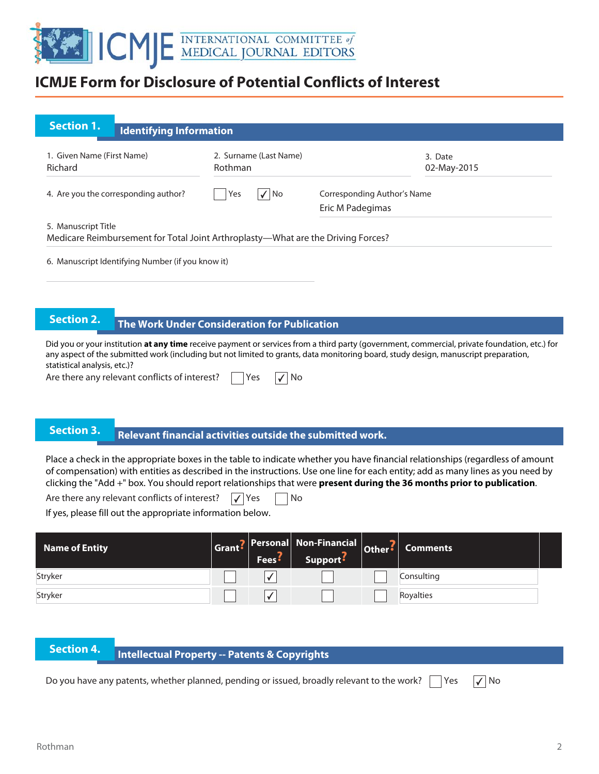

| <b>Section 1.</b>                     | <b>Identifying Information</b>                    |                                                                                  |                                                 |  |  |  |  |  |
|---------------------------------------|---------------------------------------------------|----------------------------------------------------------------------------------|-------------------------------------------------|--|--|--|--|--|
| 1. Given Name (First Name)<br>Richard |                                                   | 2. Surname (Last Name)<br>Rothman                                                | 3. Date<br>02-May-2015                          |  |  |  |  |  |
| 4. Are you the corresponding author?  |                                                   | $\sqrt{ N_{0}}$<br>Yes                                                           | Corresponding Author's Name<br>Eric M Padegimas |  |  |  |  |  |
| 5. Manuscript Title                   |                                                   | Medicare Reimbursement for Total Joint Arthroplasty—What are the Driving Forces? |                                                 |  |  |  |  |  |
|                                       | 6. Manuscript Identifying Number (if you know it) |                                                                                  |                                                 |  |  |  |  |  |
|                                       |                                                   |                                                                                  |                                                 |  |  |  |  |  |

## **The Work Under Consideration for Publication**

Did you or your institution **at any time** receive payment or services from a third party (government, commercial, private foundation, etc.) for any aspect of the submitted work (including but not limited to grants, data monitoring board, study design, manuscript preparation, statistical analysis, etc.)?

Are there any relevant conflicts of interest?  $\Box$  Yes

|  | ×<br>۰. |
|--|---------|
|--|---------|

## **Relevant financial activities outside the submitted work. Section 3. Relevant financial activities outset**

Place a check in the appropriate boxes in the table to indicate whether you have financial relationships (regardless of amount of compensation) with entities as described in the instructions. Use one line for each entity; add as many lines as you need by clicking the "Add +" box. You should report relationships that were **present during the 36 months prior to publication**.

Are there any relevant conflicts of interest?  $\sqrt{\ }$  Yes  $\Box$  No

If yes, please fill out the appropriate information below.

| <b>Name of Entity</b> | Fees <sup>5</sup> | Grant? Personal Non-Financial Other?<br>Support <sup>5</sup> | <b>Comments</b> |  |
|-----------------------|-------------------|--------------------------------------------------------------|-----------------|--|
| Stryker               |                   |                                                              | Consulting      |  |
| Stryker               |                   |                                                              | Royalties       |  |

### **Intellectual Property -- Patents & Copyrights**

Do you have any patents, whether planned, pending or issued, broadly relevant to the work?  $\Box$  Yes  $\Box$  No